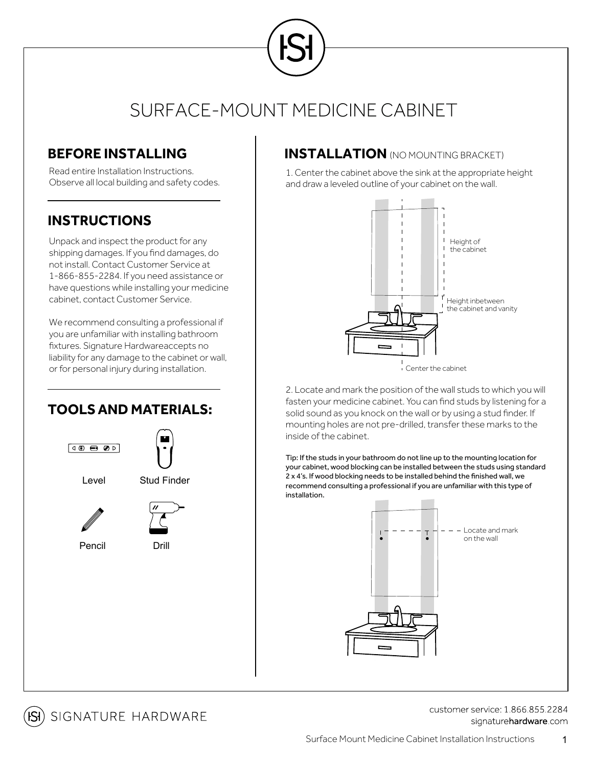# SURFACE-MOUNT MEDICINE CABINET

### **BEFORE INSTALLING**

Read entire Installation Instructions. Observe all local building and safety codes.

### **INSTRUCTIONS**

Unpack and inspect the product for any shipping damages. If you find damages, do not install. Contact Customer Service at 1-866-855-2284. If you need assistance or have questions while installing your medicine cabinet, contact Customer Service.

We recommend consulting a professional if you are unfamiliar with installing bathroom fixtures. Signature Hardwareaccepts no liability for any damage to the cabinet or wall, or for personal injury during installation.

## **TOOLSAND MATERIALS:**



### **INSTALLATION** (NO MOUNTING BRACKET)

1. Center the cabinet above the sink at the appropriate height and draw a leveled outline of your cabinet on the wall.



2. Locate and mark the position of the wall studs to which you will fasten your medicine cabinet. You can find studs by listening for a solid sound as you knock on the wall or by using a stud finder. If mounting holes are not pre-drilled, transfer these marks to the inside of the cabinet.

Tip: If the studs in your bathroom do not line up to the mounting location for your cabinet, wood blocking can be installed between the studs using standard 2 x 4's. If wood blocking needs to be installed behind the finished wall, we recommend consulting a professional if you are unfamiliar with this type of installation.





customer service: 1 866 855 2284 signaturehardware.com